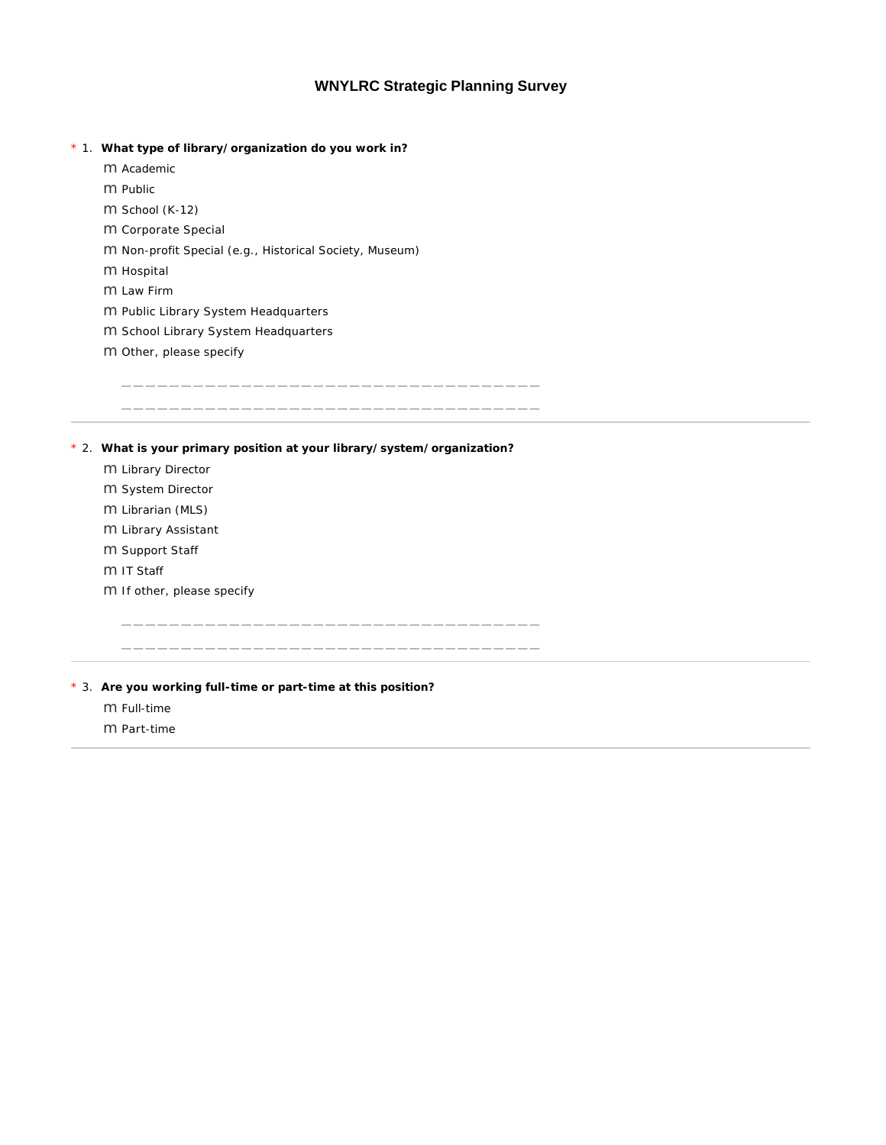## **WNYLRC Strategic Planning Survey**

- \* 1. **What type of library/organization do you work in?**
	- Academic
	- m Public
	- M School (K-12)
	- m Corporate Special
	- Non-profit Special (e.g., Historical Society, Museum)
	- **M** Hospital
	- Law Firm
	- Public Library System Headquarters
	- **M School Library System Headquarters**
	- Other, please specify

\* 2. **What is your primary position at your library/system/organization?**

\_\_\_\_\_\_\_\_\_\_\_\_\_\_\_\_\_\_\_\_\_\_\_\_\_\_\_\_\_\_\_\_\_\_\_ \_\_\_\_\_\_\_\_\_\_\_\_\_\_\_\_\_\_\_\_\_\_\_\_\_\_\_\_\_\_\_\_\_\_\_

\_\_\_\_\_\_\_\_\_\_\_\_\_\_\_\_\_\_\_\_\_\_\_\_\_\_\_\_\_\_\_\_\_\_\_ \_\_\_\_\_\_\_\_\_\_\_\_\_\_\_\_\_\_\_\_\_\_\_\_\_\_\_\_\_\_\_\_\_\_\_

- Library Director
- **M** System Director
- Librarian (MLS)
- Library Assistant
- **M** Support Staff
- **M IT Staff**
- If other, please specify
- \* 3. **Are you working full-time or part-time at this position?**
	- m Full-time
	- Part-time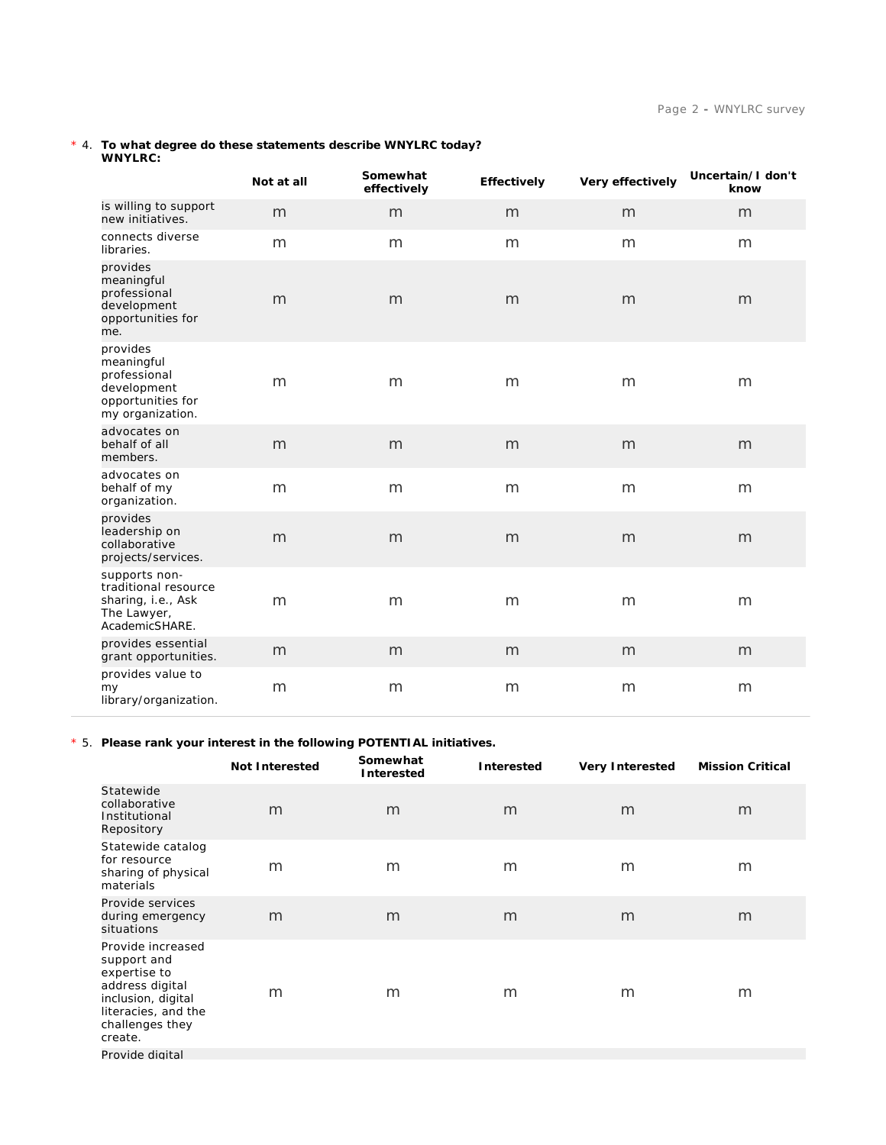\* 4. **To what degree do these statements describe WNYLRC today? WNYLRC:**

|                                                                                                | Not at all | Somewhat<br>effectively | Effectively | Very effectively | Uncertain/I don't<br>know |
|------------------------------------------------------------------------------------------------|------------|-------------------------|-------------|------------------|---------------------------|
| is willing to support<br>new initiatives.                                                      | m          | m                       | m           | m                | m                         |
| connects diverse<br>libraries.                                                                 | m          | m                       | m           | m                | m                         |
| provides<br>meaningful<br>professional<br>development<br>opportunities for<br>me.              | m          | m                       | m           | m                | m                         |
| provides<br>meaningful<br>professional<br>development<br>opportunities for<br>my organization. | m          | m                       | m           | m                | m                         |
| advocates on<br>behalf of all<br>members.                                                      | m          | m                       | m           | m                | m                         |
| advocates on<br>behalf of my<br>organization.                                                  | m          | m                       | m           | m                | m                         |
| provides<br>leadership on<br>collaborative<br>projects/services.                               | m          | m                       | m           | m                | m                         |
| supports non-<br>traditional resource<br>sharing, i.e., Ask<br>The Lawyer,<br>AcademicSHARE.   | m          | m                       | m           | m                | m                         |
| provides essential<br>grant opportunities.                                                     | m          | m                       | m           | m                | m                         |
| provides value to<br>my<br>library/organization.                                               | m          | m                       | m           | m                | m                         |

## \* 5. **Please rank your interest in the following POTENTIAL initiatives.**

|                                                                                                                                                | Not Interested | Somewhat<br>Interested | Interested | Very Interested | <b>Mission Critical</b> |
|------------------------------------------------------------------------------------------------------------------------------------------------|----------------|------------------------|------------|-----------------|-------------------------|
| Statewide<br>collaborative<br>Institutional<br>Repository                                                                                      | m              | m                      | m          | m               | m                       |
| Statewide catalog<br>for resource<br>sharing of physical<br>materials                                                                          | m              | m                      | m          | m               | m                       |
| Provide services<br>during emergency<br>situations                                                                                             | m              | m                      | m          | m               | m                       |
| Provide increased<br>support and<br>expertise to<br>address digital<br>inclusion, digital<br>literacies, and the<br>challenges they<br>create. | m              | m                      | m          | m               | m                       |
| Provide digital                                                                                                                                |                |                        |            |                 |                         |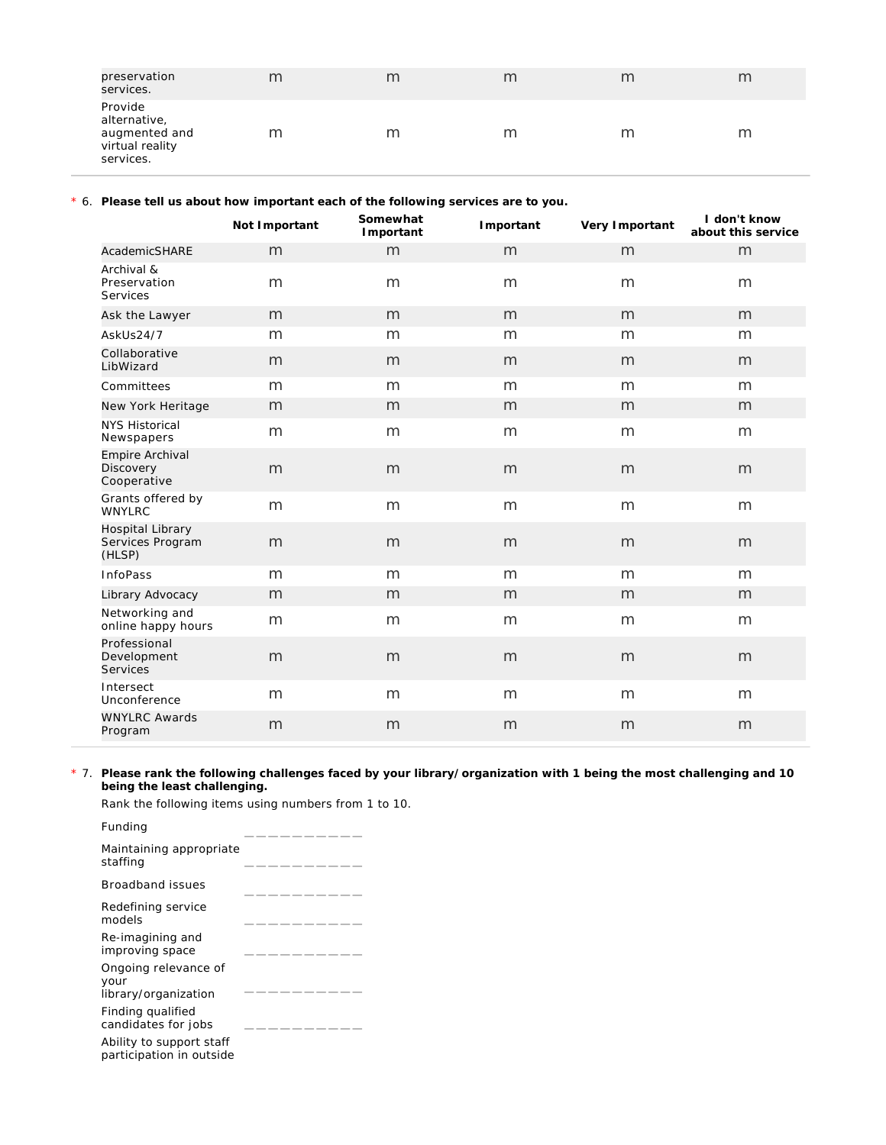| preservation<br>services.                                                | m | m | m | m | m |
|--------------------------------------------------------------------------|---|---|---|---|---|
| Provide<br>alternative,<br>augmented and<br>virtual reality<br>services. | m | m | m | m | m |

\* 6. **Please tell us about how important each of the following services are to you.**

|                                                       | Not Important | Somewhat<br>Important | Important | Very Important | I don't know<br>about this service |
|-------------------------------------------------------|---------------|-----------------------|-----------|----------------|------------------------------------|
| AcademicSHARE                                         | m             | m                     | m         | m              | m                                  |
| Archival &<br>Preservation<br>Services                | m             | m                     | m         | m              | m                                  |
| Ask the Lawyer                                        | m             | m                     | m         | m              | m                                  |
| AskUs24/7                                             | m             | m                     | m         | m              | m                                  |
| Collaborative<br>LibWizard                            | m             | m                     | m         | m              | m                                  |
| Committees                                            | m             | m                     | m         | m              | m                                  |
| New York Heritage                                     | m             | m                     | m         | m              | m                                  |
| <b>NYS Historical</b><br>Newspapers                   | m             | m                     | m         | m              | m                                  |
| Empire Archival<br>Discovery<br>Cooperative           | m             | m                     | m         | m              | m                                  |
| Grants offered by<br><b>WNYLRC</b>                    | m             | m                     | m         | m              | m                                  |
| <b>Hospital Library</b><br>Services Program<br>(HLSP) | m             | m                     | m         | m              | m                                  |
| <b>InfoPass</b>                                       | m             | m                     | m         | m              | m                                  |
| Library Advocacy                                      | m             | m                     | m         | m              | m                                  |
| Networking and<br>online happy hours                  | m             | m                     | m         | m              | m                                  |
| Professional<br>Development<br><b>Services</b>        | m             | m                     | m         | m              | m                                  |
| Intersect<br>Unconference                             | m             | m                     | m         | m              | m                                  |
| <b>WNYLRC Awards</b><br>Program                       | m             | m                     | m         | m              | m                                  |

\* 7. **Please rank the following challenges faced by your library/organization with 1 being the most challenging and 10 being the least challenging.**

Rank the following items using numbers from 1 to 10.

| Funding                                              |  |
|------------------------------------------------------|--|
| Maintaining appropriate<br>staffing                  |  |
| Broadband issues                                     |  |
| Redefining service<br>models                         |  |
| Re-imagining and<br>improving space                  |  |
| Ongoing relevance of<br>your<br>library/organization |  |
| Finding qualified<br>candidates for jobs             |  |
| Ability to support staff<br>participation in outside |  |